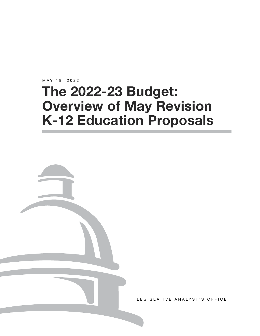MAY 18, 2022

# **The 2022-23 Budget: Overview of May Revision K-12 Education Proposals**



LEGISLATIVE ANALYST'S OFFICE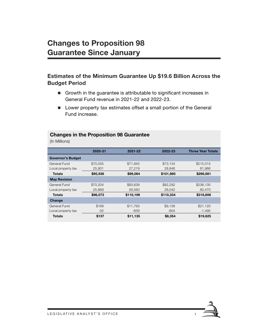# **Changes to Proposition 98 Guarantee Since January**

# **Estimates of the Minimum Guarantee Up \$19.6 Billion Across the Budget Period**

- Growth in the guarantee is attributable to significant increases in General Fund revenue in 2021-22 and 2022-23.
- **Lower property tax estimates offset a small portion of the General** Fund increase.

#### **Changes in the Proposition 98 Guarantee**

(In Millions)

| 2020-21  | 2021-22   | 2022-23   | <b>Three Year Totals</b> |
|----------|-----------|-----------|--------------------------|
|          |           |           |                          |
| \$70,035 | \$71.845  | \$73.134  | \$215.015                |
| 25,901   | 27,219    | 28.846    | 81,966                   |
| \$95,936 | \$99,064  | \$101,980 | \$296,981                |
|          |           |           |                          |
| \$70.204 | \$83,639  | \$82,292  | \$236,135                |
| 25,869   | 26,560    | 28,042    | 80,470                   |
| \$96,073 | \$110,199 | \$110,334 | \$316,606                |
|          |           |           |                          |
| \$169    | \$11.793  | \$9.158   | \$21,120                 |
| $-32$    | $-659$    | $-804$    | $-1,495$                 |
| \$137    | \$11,135  | \$8,354   | \$19,625                 |
|          |           |           |                          |

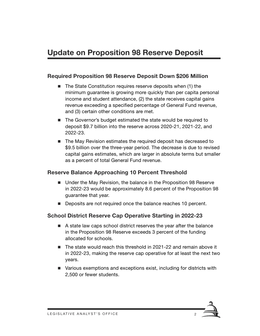# **Update on Proposition 98 Reserve Deposit**

#### **Required Proposition 98 Reserve Deposit Down \$206 Million**

- $\blacksquare$  The State Constitution requires reserve deposits when (1) the minimum guarantee is growing more quickly than per capita personal income and student attendance, (2) the state receives capital gains revenue exceeding a specified percentage of General Fund revenue, and (3) certain other conditions are met.
- The Governor's budget estimated the state would be required to deposit \$9.7 billion into the reserve across 2020-21, 2021-22, and 2022-23.
- The May Revision estimates the required deposit has decreased to \$9.5 billion over the three-year period. The decrease is due to revised capital gains estimates, which are larger in absolute terms but smaller as a percent of total General Fund revenue.

#### **Reserve Balance Approaching 10 Percent Threshold**

- Under the May Revision, the balance in the Proposition 98 Reserve in 2022-23 would be approximately 8.6 percent of the Proposition 98 guarantee that year.
- Deposits are not required once the balance reaches 10 percent.

#### **School District Reserve Cap Operative Starting in 2022-23**

- A state law caps school district reserves the year after the balance in the Proposition 98 Reserve exceeds 3 percent of the funding allocated for schools.
- The state would reach this threshold in 2021-22 and remain above it in 2022-23, making the reserve cap operative for at least the next two years.
- Various exemptions and exceptions exist, including for districts with 2,500 or fewer students.

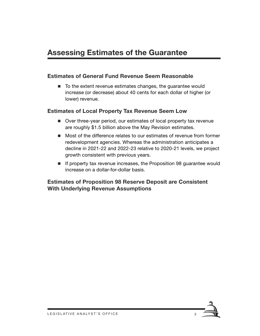# **Assessing Estimates of the Guarantee**

#### **Estimates of General Fund Revenue Seem Reasonable**

■ To the extent revenue estimates changes, the guarantee would increase (or decrease) about 40 cents for each dollar of higher (or lower) revenue.

#### **Estimates of Local Property Tax Revenue Seem Low**

- Over three-year period, our estimates of local property tax revenue are roughly \$1.5 billion above the May Revision estimates.
- Most of the difference relates to our estimates of revenue from former redevelopment agencies. Whereas the administration anticipates a decline in 2021-22 and 2022-23 relative to 2020-21 levels, we project growth consistent with previous years.
- If property tax revenue increases, the Proposition 98 guarantee would increase on a dollar-for-dollar basis.

#### **Estimates of Proposition 98 Reserve Deposit are Consistent With Underlying Revenue Assumptions**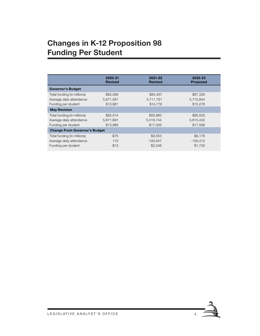# **Changes in K-12 Proposition 98 Funding Per Student**

|                                      | 2020-21<br><b>Revised</b> | 2021-22<br><b>Revised</b> | 2022-23<br><b>Proposed</b> |  |  |  |  |
|--------------------------------------|---------------------------|---------------------------|----------------------------|--|--|--|--|
| <b>Governor's Budget</b>             |                           |                           |                            |  |  |  |  |
| Total funding (in millions)          | \$82,089                  | \$84,407                  | \$87,326                   |  |  |  |  |
| Average daily attendance             | 5,871,581                 | 5,711,791                 | 5.715.844                  |  |  |  |  |
| Funding per student                  | \$13.981                  | \$14,778                  | \$15,278                   |  |  |  |  |
| <b>May Revision</b>                  |                           |                           |                            |  |  |  |  |
| Total funding (in millions)          | \$82,014                  | \$93.960                  | \$95,505                   |  |  |  |  |
| Average daily attendance             | 5,871,691                 | 5,518,744                 | 5,615,432                  |  |  |  |  |
| Funding per student                  | \$13,968                  | \$17,026                  | \$17,008                   |  |  |  |  |
| <b>Change From Governor's Budget</b> |                           |                           |                            |  |  |  |  |
| Total funding (in millions)          | $-$ \$75                  | \$9.553                   | \$8.178                    |  |  |  |  |
| Average daily attendance             | 110                       | $-193,047$                | $-100,412$                 |  |  |  |  |
| Funding per student                  | $-$13$                    | \$2.248                   | \$1.730                    |  |  |  |  |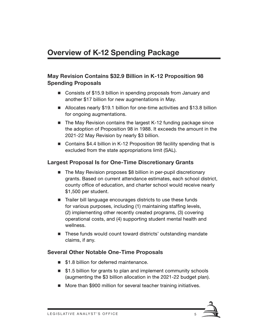# **May Revision Contains \$32.9 Billion in K-12 Proposition 98 Spending Proposals**

- Consists of \$15.9 billion in spending proposals from January and another \$17 billion for new augmentations in May.
- Allocates nearly \$19.1 billion for one-time activities and \$13.8 billion for ongoing augmentations.
- $\blacksquare$  The May Revision contains the largest K-12 funding package since the adoption of Proposition 98 in 1988. It exceeds the amount in the 2021-22 May Revision by nearly \$3 billion.
- Contains \$4.4 billion in K-12 Proposition 98 facility spending that is excluded from the state appropriations limit (SAL).

# **Largest Proposal Is for One-Time Discretionary Grants**

- The May Revision proposes \$8 billion in per-pupil discretionary grants. Based on current attendance estimates, each school district, county office of education, and charter school would receive nearly \$1,500 per student.
- Trailer bill language encourages districts to use these funds for various purposes, including (1) maintaining staffing levels, (2) implementing other recently created programs, (3) covering operational costs, and (4) supporting student mental health and wellness.
- These funds would count toward districts' outstanding mandate claims, if any.

# **Several Other Notable One-Time Proposals**

- \$1.8 billion for deferred maintenance.
- \$1.5 billion for grants to plan and implement community schools (augmenting the \$3 billion allocation in the 2021-22 budget plan).
- More than \$900 million for several teacher training initiatives.

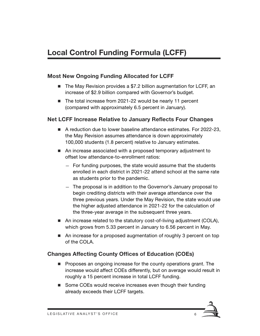# **Local Control Funding Formula (LCFF)**

#### **Most New Ongoing Funding Allocated for LCFF**

- The May Revision provides a \$7.2 billion augmentation for LCFF, an increase of \$2.9 billion compared with Governor's budget.
- The total increase from 2021-22 would be nearly 11 percent (compared with approximately 6.5 percent in January).

#### **Net LCFF Increase Relative to January Reflects Four Changes**

- A reduction due to lower baseline attendance estimates. For 2022-23, the May Revision assumes attendance is down approximately 100,000 students (1.8 percent) relative to January estimates.
- An increase associated with a proposed temporary adjustment to offset low attendance-to-enrollment ratios:
	- For funding purposes, the state would assume that the students enrolled in each district in 2021-22 attend school at the same rate as students prior to the pandemic.
	- The proposal is in addition to the Governor's January proposal to begin crediting districts with their average attendance over the three previous years. Under the May Revision, the state would use the higher adjusted attendance in 2021-22 for the calculation of the three-year average in the subsequent three years.
- An increase related to the statutory cost-of-living adjustment (COLA), which grows from 5.33 percent in January to 6.56 percent in May.
- An increase for a proposed augmentation of roughly 3 percent on top of the COLA.

# **Changes Affecting County Offices of Education (COEs)**

- **Proposes an ongoing increase for the county operations grant. The** increase would affect COEs differently, but on average would result in roughly a 15 percent increase in total LCFF funding.
- Some COEs would receive increases even though their funding already exceeds their LCFF targets.

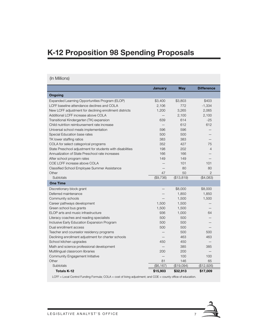# **K-12 Proposition 98 Spending Proposals**

#### (In Millions)

|                                                           | <b>January</b> | May        | <b>Difference</b> |
|-----------------------------------------------------------|----------------|------------|-------------------|
| <b>Ongoing</b>                                            |                |            |                   |
| Expanded Learning Opportunities Program (ELOP)            | \$3,400        | \$3,803    | \$403             |
| LCFF baseline attendance declines and COLA                | 2,106          | 772        | $-1,334$          |
| New LCFF adjustment for declining enrollment districts    | 1,200          | 3,265      | 2,065             |
| Additional LCFF increase above COLA                       |                | 2,100      | 2,100             |
| Transitional Kindergarten (TK) expansion                  | 639            | 614        | $-25$             |
| Child nutrition reimbursement rate increase               |                | 612        | 612               |
| Universal school meals implementation                     | 596            | 596        |                   |
| Special Education base rates                              | 500            | 500        |                   |
| TK lower staffing ratios                                  | 383            | 383        |                   |
| COLA for select categorical programs                      | 352            | 427        | 75                |
| State Preschool adjustment for students with disabilities | 198            | 202        | $\overline{4}$    |
| Annualization of State Preschool rate increases           | 166            | 166        |                   |
| After school program rates                                | 149            | 149        |                   |
| COE LCFF increase above COLA                              |                | 101        | 101               |
| Classified School Employee Summer Assistance              |                | 80         | 80                |
| Other                                                     | 47             | 50         | $\mathfrak{D}$    |
| Subtotals                                                 | (\$9,736)      | (\$13,819) | (\$4,083)         |
| <b>One Time</b>                                           |                |            |                   |
| Discretionary block grant                                 |                | \$8,000    | \$8,000           |
| Deferred maintenance                                      |                | 1,850      | 1,850             |
| Community schools                                         |                | 1,500      | 1,500             |
| Career pathways development                               | 1,500          | 1,500      |                   |
| Green school bus grants                                   | 1,500          | 1,500      |                   |
| ELOP arts and music infrastructure                        | 936            | 1,000      | 64                |
| Literacy coaches and reading specialists                  | 500            | 500        |                   |
| Inclusive Early Education Expansion Program               | 500            | 500        |                   |
| Dual enrollment access                                    | 500            | 500        |                   |
| Teacher and counselor residency programs                  |                | 500        | 500               |
| Declining enrollment adjustment for charter schools       |                | 463        | 463               |
| School kitchen upgrades                                   | 450            | 450        |                   |
| Math and science professional development                 |                | 385        | 385               |
| Multilingual classroom libraries                          | 200            | 200        |                   |
| Community Engagement Initiative                           |                | 100        | 100               |
| Other                                                     | 81             | 146        | 65                |
| Subtotals                                                 | (\$6, 167)     | (\$19,094) | (\$12,926)        |
| <b>Totals K-12</b>                                        | \$15,903       | \$32,913   | \$17,009          |

LCFF = Local Control Funding Formula; COLA = cost of living adjustment; and COE = county office of education.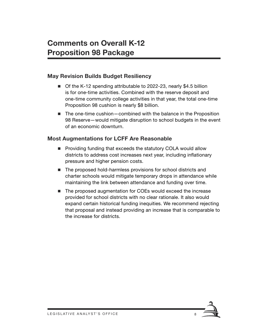### **May Revision Builds Budget Resiliency**

- Of the K-12 spending attributable to 2022-23, nearly \$4.5 billion is for one-time activities. Combined with the reserve deposit and one-time community college activities in that year, the total one-time Proposition 98 cushion is nearly \$8 billion.
- The one-time cushion—combined with the balance in the Proposition 98 Reserve—would mitigate disruption to school budgets in the event of an economic downturn.

#### **Most Augmentations for LCFF Are Reasonable**

- **Providing funding that exceeds the statutory COLA would allow** districts to address cost increases next year, including inflationary pressure and higher pension costs.
- The proposed hold-harmless provisions for school districts and charter schools would mitigate temporary drops in attendance while maintaining the link between attendance and funding over time.
- The proposed augmentation for COEs would exceed the increase provided for school districts with no clear rationale. It also would expand certain historical funding inequities. We recommend rejecting that proposal and instead providing an increase that is comparable to the increase for districts.

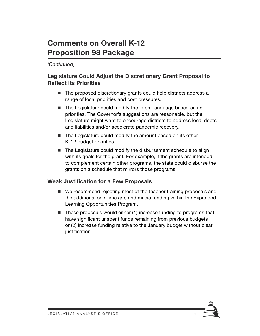# **Comments on Overall K-12 Proposition 98 Package**

### *(Continued)*

# **Legislature Could Adjust the Discretionary Grant Proposal to Reflect Its Priorities**

- The proposed discretionary grants could help districts address a range of local priorities and cost pressures.
- The Legislature could modify the intent language based on its priorities. The Governor's suggestions are reasonable, but the Legislature might want to encourage districts to address local debts and liabilities and/or accelerate pandemic recovery.
- The Legislature could modify the amount based on its other K-12 budget priorities.
- The Legislature could modify the disbursement schedule to align with its goals for the grant. For example, if the grants are intended to complement certain other programs, the state could disburse the grants on a schedule that mirrors those programs.

# **Weak Justification for a Few Proposals**

- We recommend rejecting most of the teacher training proposals and the additional one-time arts and music funding within the Expanded Learning Opportunities Program.
- $\blacksquare$  These proposals would either (1) increase funding to programs that have significant unspent funds remaining from previous budgets or (2) increase funding relative to the January budget without clear justification.